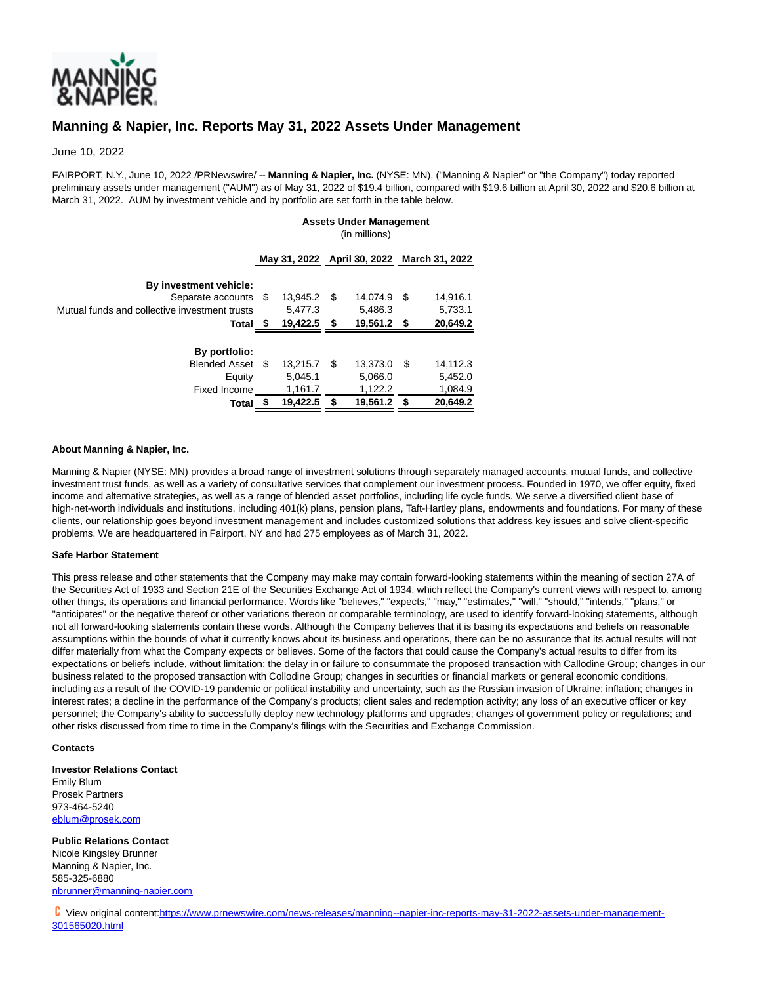

# **Manning & Napier, Inc. Reports May 31, 2022 Assets Under Management**

June 10, 2022

FAIRPORT, N.Y., June 10, 2022 /PRNewswire/ -- **Manning & Napier, Inc.** (NYSE: MN), ("Manning & Napier" or "the Company") today reported preliminary assets under management ("AUM") as of May 31, 2022 of \$19.4 billion, compared with \$19.6 billion at April 30, 2022 and \$20.6 billion at March 31, 2022. AUM by investment vehicle and by portfolio are set forth in the table below.

# **Assets Under Management**

(in millions)

| Separate accounts<br>S    | 13,945.2 | S | 14.074.9 | S    | 14,916.1                                   |
|---------------------------|----------|---|----------|------|--------------------------------------------|
|                           | 5,477.3  |   | 5,486.3  |      | 5,733.1                                    |
| Total                     | 19,422.5 | S | 19,561.2 | - \$ | 20,649.2                                   |
|                           |          |   |          |      |                                            |
|                           |          |   |          |      |                                            |
| <b>Blended Asset</b><br>S | 13.215.7 | S | 13.373.0 | \$.  | 14,112.3                                   |
|                           | 5,045.1  |   | 5,066.0  |      | 5,452.0                                    |
|                           | 1,161.7  |   | 1,122.2  |      | 1,084.9                                    |
| Total                     | 19,422.5 |   | 19,561.2 |      | 20,649.2                                   |
|                           |          |   |          |      | May 31, 2022 April 30, 2022 March 31, 2022 |

## **About Manning & Napier, Inc.**

Manning & Napier (NYSE: MN) provides a broad range of investment solutions through separately managed accounts, mutual funds, and collective investment trust funds, as well as a variety of consultative services that complement our investment process. Founded in 1970, we offer equity, fixed income and alternative strategies, as well as a range of blended asset portfolios, including life cycle funds. We serve a diversified client base of high-net-worth individuals and institutions, including 401(k) plans, pension plans, Taft-Hartley plans, endowments and foundations. For many of these clients, our relationship goes beyond investment management and includes customized solutions that address key issues and solve client-specific problems. We are headquartered in Fairport, NY and had 275 employees as of March 31, 2022.

### **Safe Harbor Statement**

This press release and other statements that the Company may make may contain forward-looking statements within the meaning of section 27A of the Securities Act of 1933 and Section 21E of the Securities Exchange Act of 1934, which reflect the Company's current views with respect to, among other things, its operations and financial performance. Words like "believes," "expects," "may," "estimates," "will," "should," "intends," "plans," or "anticipates" or the negative thereof or other variations thereon or comparable terminology, are used to identify forward-looking statements, although not all forward-looking statements contain these words. Although the Company believes that it is basing its expectations and beliefs on reasonable assumptions within the bounds of what it currently knows about its business and operations, there can be no assurance that its actual results will not differ materially from what the Company expects or believes. Some of the factors that could cause the Company's actual results to differ from its expectations or beliefs include, without limitation: the delay in or failure to consummate the proposed transaction with Callodine Group; changes in our business related to the proposed transaction with Collodine Group; changes in securities or financial markets or general economic conditions, including as a result of the COVID-19 pandemic or political instability and uncertainty, such as the Russian invasion of Ukraine; inflation; changes in interest rates; a decline in the performance of the Company's products; client sales and redemption activity; any loss of an executive officer or key personnel; the Company's ability to successfully deploy new technology platforms and upgrades; changes of government policy or regulations; and other risks discussed from time to time in the Company's filings with the Securities and Exchange Commission.

### **Contacts**

**Investor Relations Contact** Emily Blum Prosek Partners 973-464-5240 [eblum@prosek.com](mailto:eblum@prosek.com)

**Public Relations Contact** Nicole Kingsley Brunner Manning & Napier, Inc. 585-325-6880 [nbrunner@manning-napier.com](mailto:nbrunner@manning-napier.com)

 View original conten[t:https://www.prnewswire.com/news-releases/manning--napier-inc-reports-may-31-2022-assets-under-management-](https://www.prnewswire.com/news-releases/manning--napier-inc-reports-may-31-2022-assets-under-management-301565020.html)301565020.html